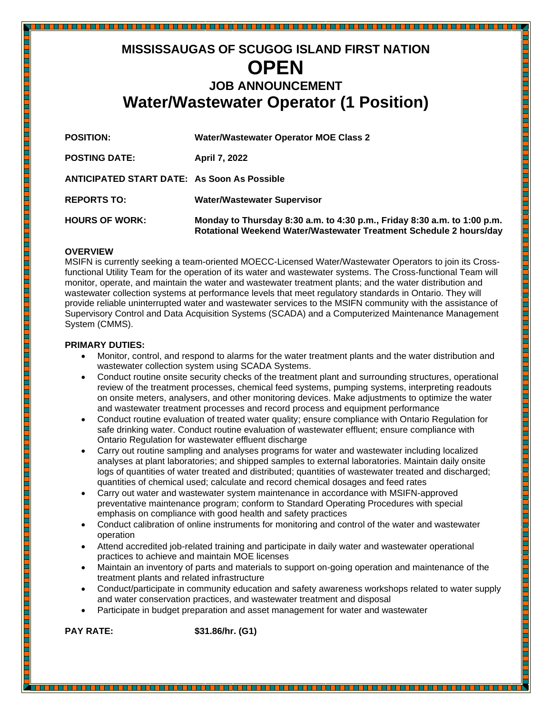# **MISSISSAUGAS OF SCUGOG ISLAND FIRST NATION OPEN JOB ANNOUNCEMENT Water/Wastewater Operator (1 Position)**

<u> 1989 - Personal de Sant</u>

| <b>POSITION:</b>                                   | <b>Water/Wastewater Operator MOE Class 2</b>                                                                                                   |
|----------------------------------------------------|------------------------------------------------------------------------------------------------------------------------------------------------|
| <b>POSTING DATE:</b>                               | <b>April 7, 2022</b>                                                                                                                           |
| <b>ANTICIPATED START DATE: As Soon As Possible</b> |                                                                                                                                                |
| <b>REPORTS TO:</b>                                 | <b>Water/Wastewater Supervisor</b>                                                                                                             |
| <b>HOURS OF WORK:</b>                              | Monday to Thursday 8:30 a.m. to 4:30 p.m., Friday 8:30 a.m. to 1:00 p.m.<br>Rotational Weekend Water/Wastewater Treatment Schedule 2 hours/day |

#### **OVERVIEW**

MSIFN is currently seeking a team-oriented MOECC-Licensed Water/Wastewater Operators to join its Crossfunctional Utility Team for the operation of its water and wastewater systems. The Cross-functional Team will monitor, operate, and maintain the water and wastewater treatment plants; and the water distribution and wastewater collection systems at performance levels that meet regulatory standards in Ontario. They will provide reliable uninterrupted water and wastewater services to the MSIFN community with the assistance of Supervisory Control and Data Acquisition Systems (SCADA) and a Computerized Maintenance Management System (CMMS).

## **PRIMARY DUTIES:**

• Monitor, control, and respond to alarms for the water treatment plants and the water distribution and wastewater collection system using SCADA Systems.

<u> Birin birin birin birin birin birin birin birin birin birin birin birin birin birin birin birin birin birin b</u>

- Conduct routine onsite security checks of the treatment plant and surrounding structures, operational review of the treatment processes, chemical feed systems, pumping systems, interpreting readouts on onsite meters, analysers, and other monitoring devices. Make adjustments to optimize the water and wastewater treatment processes and record process and equipment performance
- Conduct routine evaluation of treated water quality; ensure compliance with Ontario Regulation for safe drinking water. Conduct routine evaluation of wastewater effluent; ensure compliance with Ontario Regulation for wastewater effluent discharge
- Carry out routine sampling and analyses programs for water and wastewater including localized analyses at plant laboratories; and shipped samples to external laboratories. Maintain daily onsite logs of quantities of water treated and distributed; quantities of wastewater treated and discharged; quantities of chemical used; calculate and record chemical dosages and feed rates
- Carry out water and wastewater system maintenance in accordance with MSIFN-approved preventative maintenance program; conform to Standard Operating Procedures with special emphasis on compliance with good health and safety practices
- Conduct calibration of online instruments for monitoring and control of the water and wastewater operation
- Attend accredited job-related training and participate in daily water and wastewater operational practices to achieve and maintain MOE licenses
- Maintain an inventory of parts and materials to support on-going operation and maintenance of the treatment plants and related infrastructure

- Conduct/participate in community education and safety awareness workshops related to water supply and water conservation practices, and wastewater treatment and disposal
- Participate in budget preparation and asset management for water and wastewater

**PAY RATE: \$31.86/hr. (G1)**